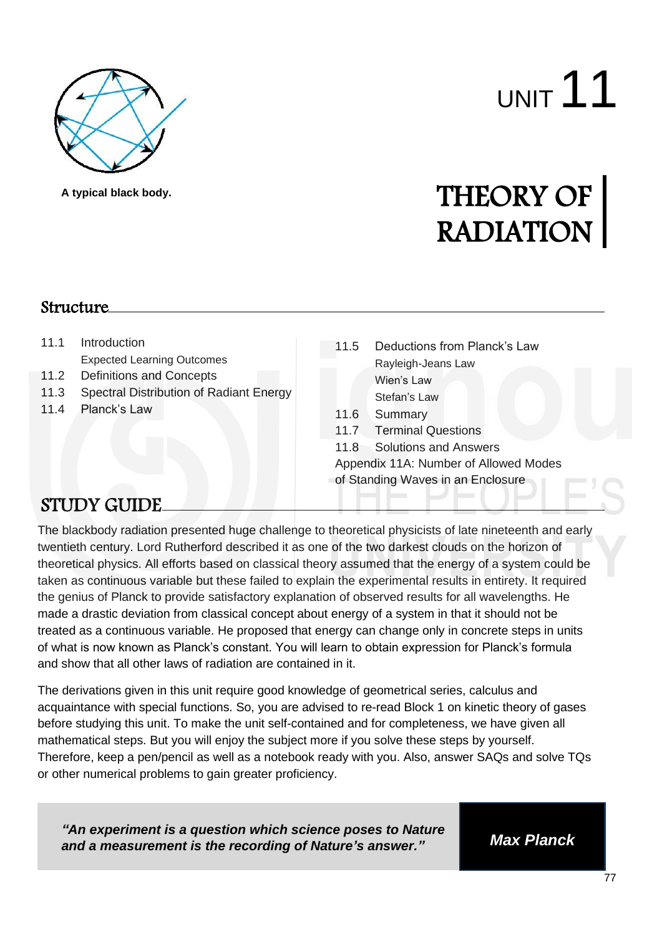

**A typical black body.**

# UNIT 11

## THEORY OF RADIATION

#### **Structure**

- 11.1 Introduction Expected Learning Outcomes
- 11.2 Definitions and Concepts
- 11.3 Spectral Distribution of Radiant Energy
- 11.4 Planck's Law
- 11.5 Deductions from Planck's Law Rayleigh-Jeans Law Wien's Law Stefan's Law
- 11.6 Summary
- 11.7 Terminal Questions
- 11.8 Solutions and Answers
- Appendix 11A: Number of Allowed Modes
- of Standing Waves in an Enclosure

#### STUDY GUIDE

The blackbody radiation presented huge challenge to theoretical physicists of late nineteenth and early twentieth century. Lord Rutherford described it as one of the two darkest clouds on the horizon of theoretical physics. All efforts based on classical theory assumed that the energy of a system could be taken as continuous variable but these failed to explain the experimental results in entirety. It required the genius of Planck to provide satisfactory explanation of observed results for all wavelengths. He made a drastic deviation from classical concept about energy of a system in that it should not be treated as a continuous variable. He proposed that energy can change only in concrete steps in units of what is now known as Planck's constant. You will learn to obtain expression for Planck's formula and show that all other laws of radiation are contained in it.

The derivations given in this unit require good knowledge of geometrical series, calculus and acquaintance with special functions. So, you are advised to re-read Block 1 on kinetic theory of gases before studying this unit. To make the unit self-contained and for completeness, we have given all mathematical steps. But you will enjoy the subject more if you solve these steps by yourself. Therefore, keep a pen/pencil as well as a notebook ready with you. Also, answer SAQs and solve TQs or other numerical problems to gain greater proficiency.

*"An experiment is a question which science poses to Nature and a measurement is the recording of Nature's answer." Max Planck*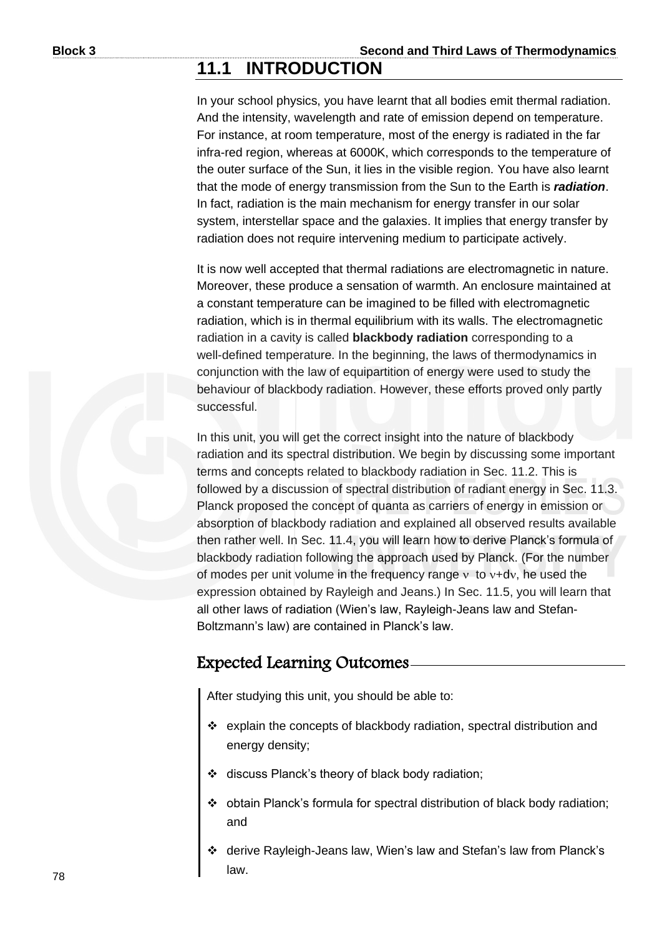#### **11.1 INTRODUCTION**

In your school physics, you have learnt that all bodies emit thermal radiation. And the intensity, wavelength and rate of emission depend on temperature. For instance, at room temperature, most of the energy is radiated in the far infra-red region, whereas at 6000K, which corresponds to the temperature of the outer surface of the Sun, it lies in the visible region. You have also learnt that the mode of energy transmission from the Sun to the Earth is *radiation*. In fact, radiation is the main mechanism for energy transfer in our solar system, interstellar space and the galaxies. It implies that energy transfer by radiation does not require intervening medium to participate actively.

It is now well accepted that thermal radiations are electromagnetic in nature. Moreover, these produce a sensation of warmth. An enclosure maintained at a constant temperature can be imagined to be filled with electromagnetic radiation, which is in thermal equilibrium with its walls. The electromagnetic radiation in a cavity is called **blackbody radiation** corresponding to a well-defined temperature. In the beginning, the laws of thermodynamics in conjunction with the law of equipartition of energy were used to study the behaviour of blackbody radiation. However, these efforts proved only partly successful.

In this unit, you will get the correct insight into the nature of blackbody radiation and its spectral distribution. We begin by discussing some important terms and concepts related to blackbody radiation in Sec. 11.2. This is followed by a discussion of spectral distribution of radiant energy in Sec. 11.3. Planck proposed the concept of quanta as carriers of energy in emission or absorption of blackbody radiation and explained all observed results available then rather well. In Sec. 11.4, you will learn how to derive Planck's formula of blackbody radiation following the approach used by Planck. (For the number of modes per unit volume in the frequency range  $v$  to  $v+dv$ , he used the expression obtained by Rayleigh and Jeans.) In Sec. 11.5, you will learn that all other laws of radiation (Wien's law, Rayleigh-Jeans law and Stefan-Boltzmann's law) are contained in Planck's law.

#### Expected Learning Outcomes

After studying this unit, you should be able to:

- ❖ explain the concepts of blackbody radiation, spectral distribution and energy density;
- ❖ discuss Planck's theory of black body radiation;
- ❖ obtain Planck's formula for spectral distribution of black body radiation; and
- ❖ derive Rayleigh-Jeans law, Wien's law and Stefan's law from Planck's law.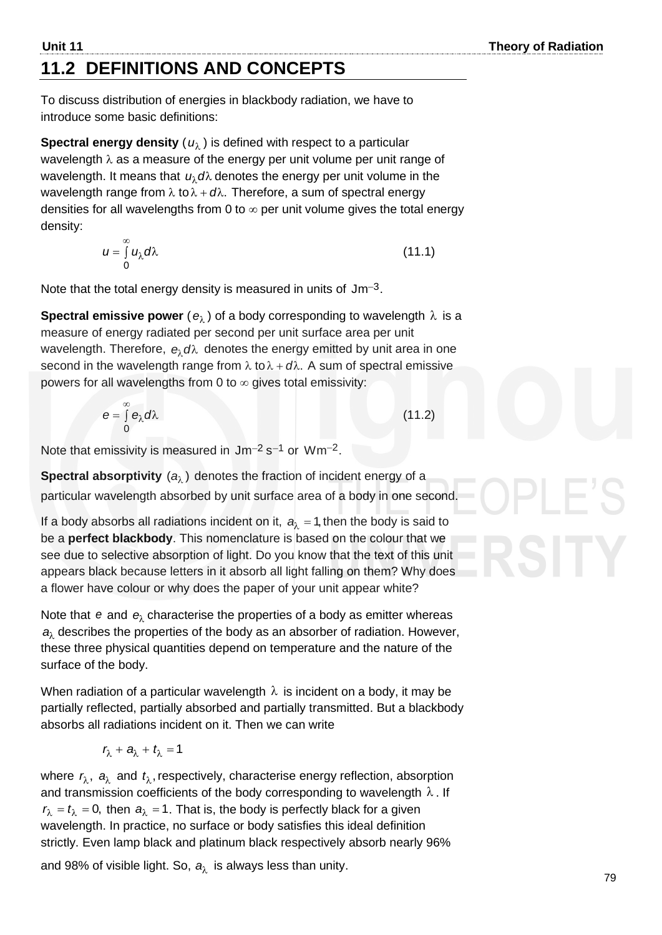$\left( \right)$ 

#### **Unit 11** Theory of Radiation **11.2 DEFINITIONS AND CONCEPTS**

To discuss distribution of energies in blackbody radiation, we have to introduce some basic definitions:

 ${\sf Spectral}$  energy density (  $u_\lambda$  ) is defined with respect to a particular wavelength  $\lambda$  as a measure of the energy per unit volume per unit range of wavelength. It means that  $\,u_{\lambda}$ d $\lambda$  denotes the energy per unit volume in the wavelength range from  $\lambda$  to  $\lambda$  +  $d\lambda$ . Therefore, a sum of spectral energy densities for all wavelengths from 0 to  $\infty$  per unit volume gives the total energy density:

$$
u = \int_{0}^{\infty} u_{\lambda} d\lambda
$$
 (11.1)

Note that the total energy density is measured in units of  $Jm^{-3}$ .

**Spectral emissive power** ( $e_{\lambda}$ ) of a body corresponding to wavelength  $\lambda$  is a measure of energy radiated per second per unit surface area per unit wavelength. Therefore,  $e_{\lambda}d\lambda$  denotes the energy emitted by unit area in one second in the wavelength range from  $\lambda$  to  $\lambda + d\lambda$ . A sum of spectral emissive powers for all wavelengths from 0 to  $\infty$  gives total emissivity:

$$
e = \int_{0}^{\infty} e_{\lambda} d\lambda
$$
 (11.2)

Note that emissivity is measured in  $Jm^{-2} s^{-1}$  or  $Wm^{-2}$ .

**Spectral absorptivity**  $(a_\lambda)$  denotes the fraction of incident energy of a particular wavelength absorbed by unit surface area of a body in one second.

If a body absorbs all radiations incident on it,  $a_{\lambda} = 1$ , then the body is said to be a **perfect blackbody**. This nomenclature is based on the colour that we see due to selective absorption of light. Do you know that the text of this unit appears black because letters in it absorb all light falling on them? Why does a flower have colour or why does the paper of your unit appear white?

Note that  $\,$  e and  $\,$  e $_{\lambda}$  characterise the properties of a body as emitter whereas *a* describes the properties of the body as an absorber of radiation. However, these three physical quantities depend on temperature and the nature of the surface of the body.

When radiation of a particular wavelength  $\lambda$  is incident on a body, it may be partially reflected, partially absorbed and partially transmitted. But a blackbody absorbs all radiations incident on it. Then we can write

$$
r_{\lambda} + a_{\lambda} + t_{\lambda} = 1
$$

where  $\mathit{r}_{\lambda}$ ,  $\mathit{a}_{\lambda}$  and  $\mathit{t}_{\lambda}$ , respectively, characterise energy reflection, absorption and transmission coefficients of the body corresponding to wavelength  $\lambda$ . If  $r_{\lambda} = t_{\lambda} = 0$ , then  $a_{\lambda} = 1$ . That is, the body is perfectly black for a given wavelength. In practice, no surface or body satisfies this ideal definition strictly. Even lamp black and platinum black respectively absorb nearly 96%

and 98% of visible light. So,  $\boldsymbol{a}_{\!\lambda}^{\phantom{\dagger}}$  is always less than unity.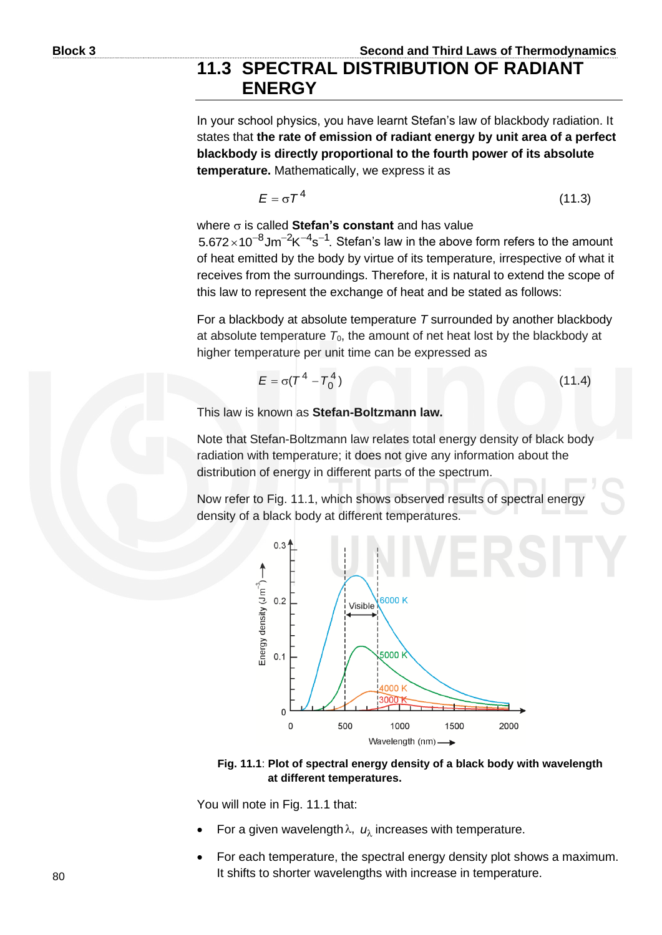#### **11.3 SPECTRAL DISTRIBUTION OF RADIANT ENERGY**

In your school physics, you have learnt Stefan's law of blackbody radiation. It states that **the rate of emission of radiant energy by unit area of a perfect blackbody is directly proportional to the fourth power of its absolute temperature.** Mathematically, we express it as

$$
E = \sigma T^4 \tag{11.3}
$$

where  $\sigma$  is called **Stefan's constant** and has value

 $5.672 \times 10^{-8}$ Jm<sup>-2</sup>K<sup>-4</sup>s<sup>-1</sup>. Stefan's law in the above form refers to the amount of heat emitted by the body by virtue of its temperature, irrespective of what it receives from the surroundings. Therefore, it is natural to extend the scope of this law to represent the exchange of heat and be stated as follows:

For a blackbody at absolute temperature *T* surrounded by another blackbody at absolute temperature  $T_0$ , the amount of net heat lost by the blackbody at higher temperature per unit time can be expressed as

$$
E = \sigma (T^4 - T_0^4)
$$
 (11.4)

This law is known as **Stefan-Boltzmann law.**

Note that Stefan-Boltzmann law relates total energy density of black body radiation with temperature; it does not give any information about the distribution of energy in different parts of the spectrum.

Now refer to Fig. 11.1, which shows observed results of spectral energy density of a black body at different temperatures.



**Fig. 11.1**: **Plot of spectral energy density of a black body with wavelength at different temperatures.**

You will note in Fig. 11.1 that:

- For a given wavelength  $\lambda$ ,  $u_{\lambda}$  increases with temperature.
- For each temperature, the spectral energy density plot shows a maximum. It shifts to shorter wavelengths with increase in temperature.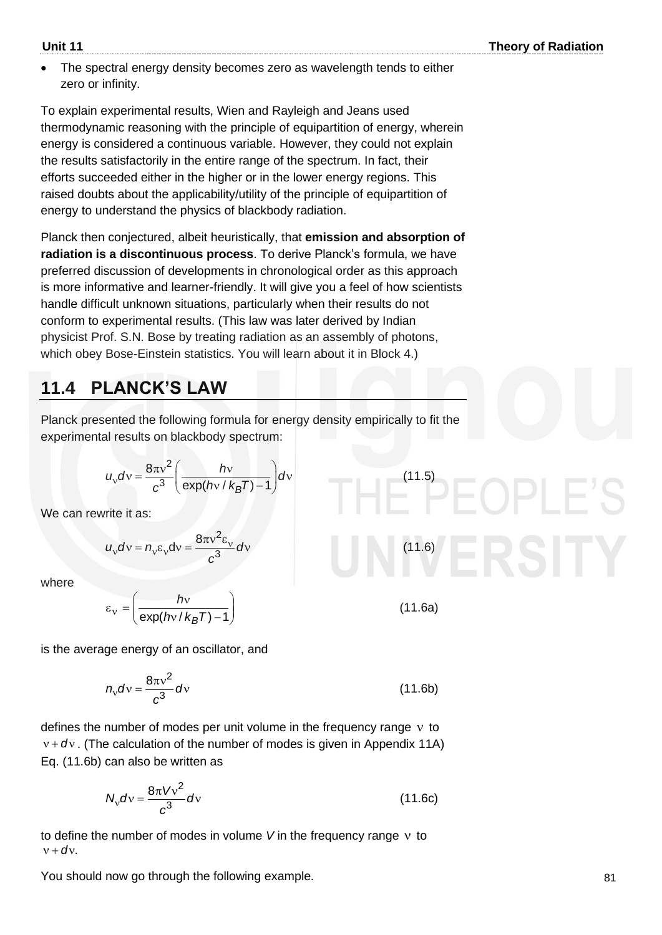The spectral energy density becomes zero as wavelength tends to either zero or infinity.

To explain experimental results, Wien and Rayleigh and Jeans used thermodynamic reasoning with the principle of equipartition of energy, wherein energy is considered a continuous variable. However, they could not explain the results satisfactorily in the entire range of the spectrum. In fact, their efforts succeeded either in the higher or in the lower energy regions. This raised doubts about the applicability/utility of the principle of equipartition of energy to understand the physics of blackbody radiation.

Planck then conjectured, albeit heuristically, that **emission and absorption of radiation is a discontinuous process**. To derive Planck's formula, we have preferred discussion of developments in chronological order as this approach is more informative and learner-friendly. It will give you a feel of how scientists handle difficult unknown situations, particularly when their results do not conform to experimental results. (This law was later derived by Indian physicist Prof. S.N. Bose by treating radiation as an assembly of photons, which obey Bose-Einstein statistics. You will learn about it in Block 4.)

#### **11.4 PLANCK'S LAW**

Planck presented the following formula for energy density empirically to fit the experimental results on blackbody spectrum:

$$
u_v dv = \frac{8\pi v^2}{c^3} \left( \frac{hv}{\exp(hv/k_BT)-1} \right) dv
$$

We can rewrite it as:

$$
u_{\rm v}dv = n_{\rm v}\epsilon_{\rm v}dv = \frac{8\pi v^2\epsilon_{\rm v}}{c^3}dv
$$

where

$$
\varepsilon_{\rm v} = \left(\frac{h{\rm v}}{\exp(h{\rm v}/k_BT)-1}\right)
$$

is the average energy of an oscillator, and

$$
n_{\rm v}d\rm v=\frac{8\pi v^2}{c^3}d\rm v\tag{11.6b}
$$

defines the number of modes per unit volume in the frequency range  $v$  to  $v + dv$ . (The calculation of the number of modes is given in Appendix 11A) Eq. (11.6b) can also be written as

$$
N_{\rm v} dv = \frac{8\pi V v^2}{c^3} dv \tag{11.6c}
$$

to define the number of modes in volume *V* in the frequency range to  $v + dv$ .

You should now go through the following example.

$$
(11.6)
$$
\n
$$
(11.6a)
$$

(11.5)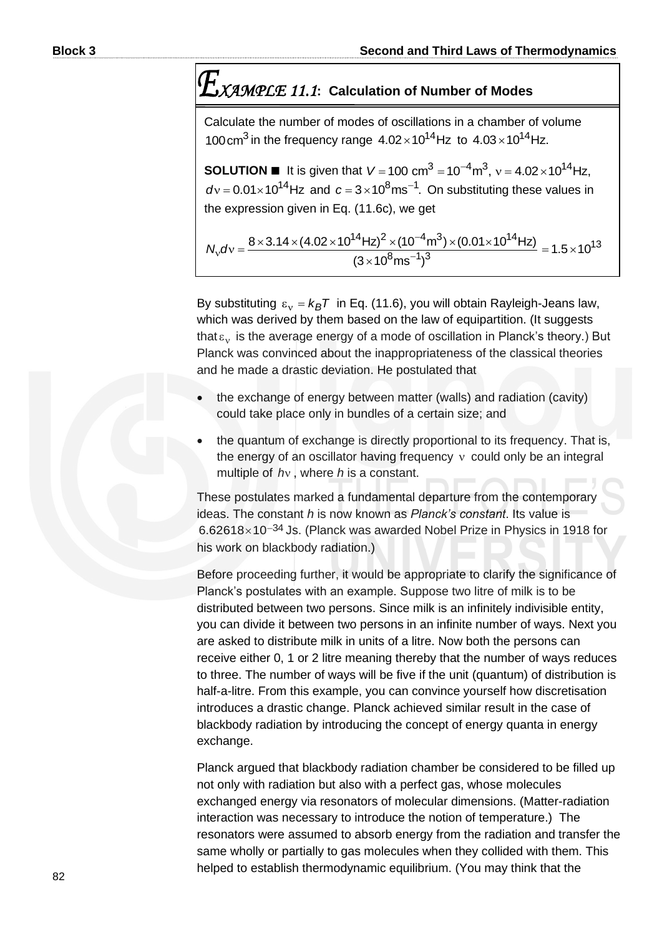### *XAMPLE 11.1***: Calculation of Number of Modes**

Calculate the number of modes of oscillations in a chamber of volume 100 cm<sup>3</sup> in the frequency range  $4.02 \times 10^{14}$ Hz to  $4.03 \times 10^{14}$ Hz.

**SOLUTION**  $\blacksquare$  It is given that  $V = 100 \text{ cm}^3 = 10^{-7}$  $\textbf{SOLUTION}$  ■ It is given that  $V = 100 \text{ cm}^3 = 10^{-4} \text{m}^3$ ,  $v = 4.02 \times 10^{14} \text{Hz}$ ,  $dv = 0.01 \times 10^{14} \text{Hz}$  and  $c = 3 \times 10^8 \text{ms}^{-1}$ . On substituting these values in and  $c = 3 \times 10^8 \text{ms}^{-1}$ . On substituting these values in

the expression given in Eq. (11.6c), we get  
\n
$$
N_v dv = \frac{8 \times 3.14 \times (4.02 \times 10^{14} \text{ Hz})^2 \times (10^{-4} \text{ m}^3) \times (0.01 \times 10^{14} \text{ Hz})}{(3 \times 10^8 \text{ ms}^{-1})^3} = 1.5 \times 10^{13}
$$

By substituting  $\varepsilon_v = k_B T$  in Eq. (11.6), you will obtain Rayleigh-Jeans law, which was derived by them based on the law of equipartition. (It suggests that  $\varepsilon_{\rm v}$  is the average energy of a mode of oscillation in Planck's theory.) But Planck was convinced about the inappropriateness of the classical theories and he made a drastic deviation. He postulated that

- the exchange of energy between matter (walls) and radiation (cavity) could take place only in bundles of a certain size; and
- the quantum of exchange is directly proportional to its frequency. That is, the energy of an oscillator having frequency could only be an integral multiple of *h* , where *h* is a constant.

These postulates marked a fundamental departure from the contemporary ideas. The constant *h* is now known as *Planck's constant*. Its value is 6.62618×10<sup>-34</sup> Js. (Planck was awarded Nobel Prize in Physics in 1918 for his work on blackbody radiation.)

Before proceeding further, it would be appropriate to clarify the significance of Planck's postulates with an example. Suppose two litre of milk is to be distributed between two persons. Since milk is an infinitely indivisible entity, you can divide it between two persons in an infinite number of ways. Next you are asked to distribute milk in units of a litre. Now both the persons can receive either 0, 1 or 2 litre meaning thereby that the number of ways reduces to three. The number of ways will be five if the unit (quantum) of distribution is half-a-litre. From this example, you can convince yourself how discretisation introduces a drastic change. Planck achieved similar result in the case of blackbody radiation by introducing the concept of energy quanta in energy exchange.

Planck argued that blackbody radiation chamber be considered to be filled up not only with radiation but also with a perfect gas, whose molecules exchanged energy via resonators of molecular dimensions. (Matter-radiation interaction was necessary to introduce the notion of temperature.) The resonators were assumed to absorb energy from the radiation and transfer the same wholly or partially to gas molecules when they collided with them. This helped to establish thermodynamic equilibrium. (You may think that the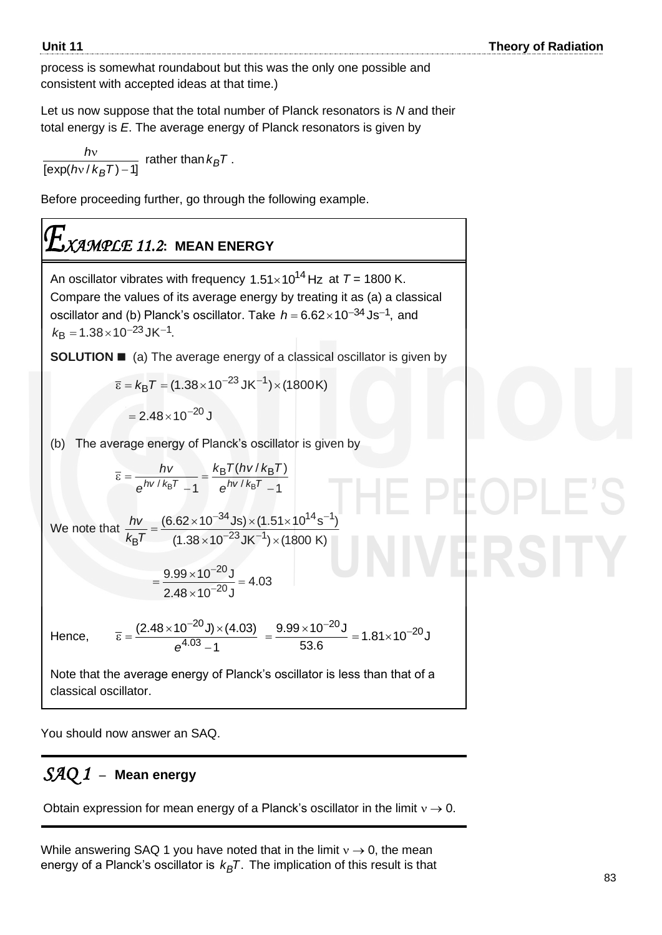process is somewhat roundabout but this was the only one possible and consistent with accepted ideas at that time.)

Let us now suppose that the total number of Planck resonators is *N* and their total energy is *E*. The average energy of Planck resonators is given by

$$
\frac{hv}{[\exp(hv/k_BT)-1]}
$$
 rather than  $k_BT$ .

Before proceeding further, go through the following example.

## *XAMPLE 11.2***: MEAN ENERGY**

An oscillator vibrates with frequency  $1.51 \times 10^{14}$  Hz at  $T = 1800$  K. Compare the values of its average energy by treating it as (a) a classical oscillator and (b) Planck's oscillator. Take  $h = 6.62 \times 10^{-34}$ Js<sup>-1</sup>, and  $k_{\text{B}} = 1.38 \times 10^{-23} \text{ J} \text{K}^{-1}.$ 

**SOLUTION** ■ (a) The average energy of a classical oscillator is given by

$$
\overline{\varepsilon} = k_{\text{B}} T = (1.38 \times 10^{-23} \text{ J} \text{K}^{-1}) \times (1800 \text{ K})
$$

$$
= 2.48 \times 10^{-20} \text{ J}
$$

(b) The average energy of Planck's oscillator is given by

$$
\overline{\varepsilon} = \frac{hv}{e^{hv/k_BT} - 1} = \frac{k_BT(hv/k_BT)}{e^{hv/k_BT} - 1}
$$

We note that  $^{-34}$ Js) $\times$ (1.51 $\times$ 10<sup>14</sup>s $^{-1}$ ) <sup>⊶</sup>Js) × (1.51<br><sup>−23</sup> JK<sup>−1</sup>) × ( =  $\frac{(6.62 \times 10^{-34} \text{Js}) \times (1.51 \times 10^{14} \times (1.38 \times 10^{-23} \text{JK}^{-1}) \times (1800 \text{K}^{-1} \times 10^{14} \times 10^{14} \text{K}^{-1} \times 10^{14} \text{K}^{-1} \times 10^{14} \text{K}^{-1} \times 10^{14} \text{K}^{-1} \times 10^{14} \text{K}^{-1} \times 10^{14} \text{K}^{-1} \times 10^{14} \text{K}^{-1} \times 10^{14} \text{K}$  $^{34}$ Js) $\times$ (1.51 $\times$ 10 $^{14}$ s $^{-1}$  $\frac{hv}{B} = \frac{(6.62 \times 10^{-34} \text{Js}) \times (1)}{(1.38 \times 10^{-23} \text{JK}^{-1})}$  $(6.62 \times 10^{-34} \text{Js}) \times (1.51 \times 10^{14} \text{ s}^{-1})$  $rac{hv}{k_{\text{B}}T} = \frac{(6.62 \times 10^{-34} \text{Js}) \times (1.51 \times 10^{14} \text{ s})}{(1.38 \times 10^{-23} \text{JK}^{-1}) \times (1800 \text{ K})}$ 

$$
=\frac{9.99\times10^{-20} \text{J}}{2.48\times10^{-20} \text{J}}=4.03
$$

−

20 4.03

 $e^{4.03} - 1$ 

Hence,

$$
\overline{\epsilon} = \frac{(2.48 \times 10^{-20} \text{ J}) \times (4.03)}{6^{4.03} - 1} = \frac{9.99 \times 10^{-20} \text{ J}}{53.6} = 1.81 \times 10^{-20} \text{ J}
$$

Note that the average energy of Planck's oscillator is less than that of a classical oscillator.

You should now answer an SAQ.

#### *SAQ 1* –**Mean energy**

Obtain expression for mean energy of a Planck's oscillator in the limit  $v \rightarrow 0$ .

While answering SAQ 1 you have noted that in the limit  $v \rightarrow 0$ , the mean energy of a Planck's oscillator is  $k_B\mathcal{T}$ . The implication of this result is that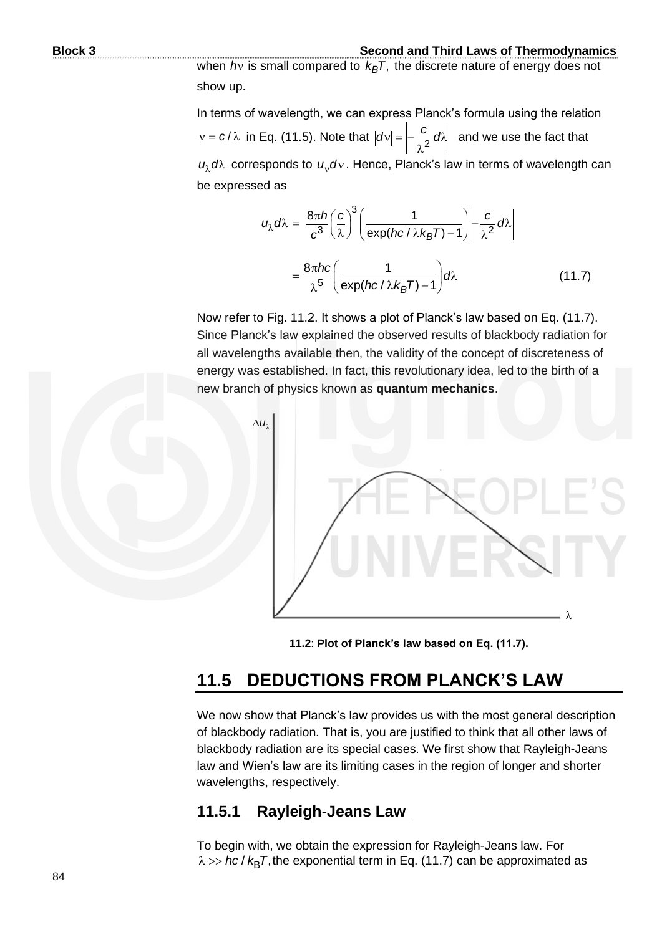when *h*<sub>v</sub> is small compared to  $k_B T$ , the discrete nature of energy does not show up.

In terms of wavelength, we can express Planck's formula using the relation  $v = c/\lambda$  in Eq. (11.5). Note that  $|dv| = \frac{c}{2} d\lambda$  $\lambda^2$  $|dv| = \left| -\frac{c}{2} d\lambda \right|$  and we use the fact that  $u_{\lambda}$ d $\lambda$  corresponds to  $u_{\nu}$ d $\nu$ . Hence, Planck's law in terms of wavelength can be expressed as

$$
u_{\lambda}d\lambda = \frac{8\pi h}{c^3} \left(\frac{c}{\lambda}\right)^3 \left(\frac{1}{\exp(hc/\lambda k_B T) - 1}\right) - \frac{c}{\lambda^2}d\lambda
$$

$$
= \frac{8\pi h c}{\lambda^5} \left(\frac{1}{\exp(hc/\lambda k_B T) - 1}\right) d\lambda \tag{11.7}
$$

Now refer to Fig. 11.2. It shows a plot of Planck's law based on Eq. (11.7). Since Planck's law explained the observed results of blackbody radiation for all wavelengths available then, the validity of the concept of discreteness of energy was established. In fact, this revolutionary idea, led to the birth of a new branch of physics known as **quantum mechanics**.



**11.2**: **Plot of Planck's law based on Eq. (11.7).**

#### **11.5 DEDUCTIONS FROM PLANCK'S LAW**

We now show that Planck's law provides us with the most general description of blackbody radiation. That is, you are justified to think that all other laws of blackbody radiation are its special cases. We first show that Rayleigh-Jeans law and Wien's law are its limiting cases in the region of longer and shorter wavelengths, respectively.

#### **11.5.1 Rayleigh-Jeans Law**

To begin with, we obtain the expression for Rayleigh-Jeans law. For  $\lambda$  >> *hc* /  $k_{\mathsf{B}}\mathcal{T},$  the exponential term in Eq. (11.7) can be approximated as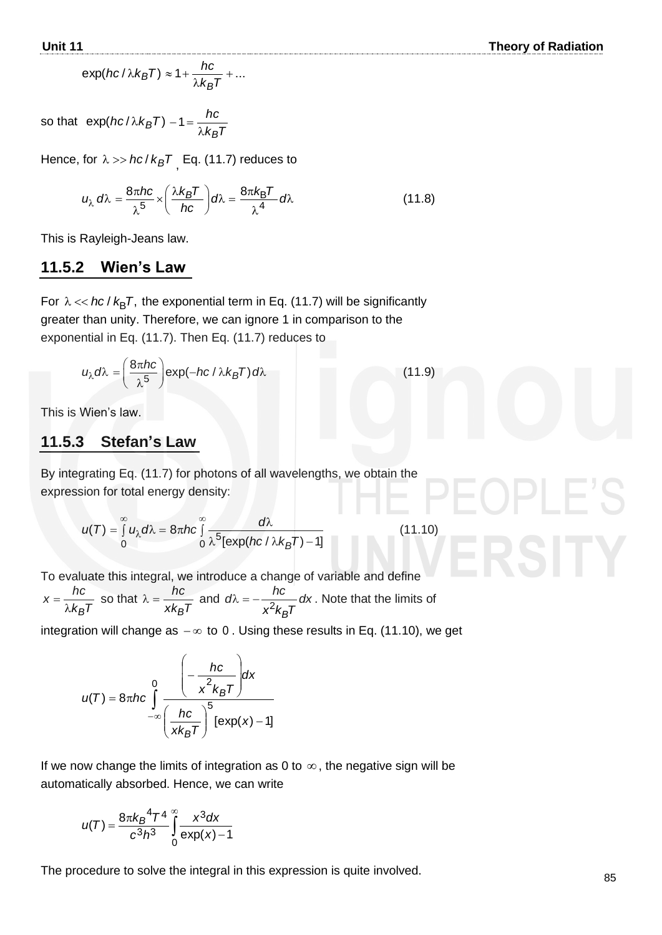(11.9)

$$
\exp(hc/\lambda k_B T) \approx 1 + \frac{hc}{\lambda k_B T} + \dots
$$

so that  $\exp(hc/\lambda k_BT) - 1 = \frac{1}{\lambda k_BT}$ *hc*  $\lambda k_B$  $-1 =$ 

Hence, for  $\lambda >> hc$  /  $k_BT$  <sub>,</sub> Eq. (11.7) reduces to

$$
u_{\lambda} d\lambda = \frac{8\pi hc}{\lambda^5} \times \left(\frac{\lambda k_B T}{hc}\right) d\lambda = \frac{8\pi k_B T}{\lambda^4} d\lambda
$$
 (11.8)

This is Rayleigh-Jeans law.

#### **11.5.2 Wien's Law**

For  $\lambda \ll hc$  /  $k_BT$ , the exponential term in Eq. (11.7) will be significantly greater than unity. Therefore, we can ignore 1 in comparison to the exponential in Eq. (11.7). Then Eq. (11.7) reduces to

$$
u_{\lambda}d\lambda = \left(\frac{8\pi hc}{\lambda^5}\right) \exp(-hc/\lambda k_B T) d\lambda
$$

This is Wien's law.

#### **11.5.3 Stefan's Law**

By integrating Eq. (11.7) for photons of all wavelengths, we obtain the expression for total energy density:

$$
u(T) = \int_{0}^{\infty} u_{\lambda} d\lambda = 8\pi hc \int_{0}^{\infty} \frac{d\lambda}{\lambda^{5} [\exp(hc/\lambda k_{B}T) - 1]}
$$
(11.10)

To evaluate this integral, we introduce a change of variable and define

$$
x = \frac{hc}{\lambda k_B T}
$$
 so that  $\lambda = \frac{hc}{x k_B T}$  and  $d\lambda = -\frac{hc}{x^2 k_B T} dx$ . Note that the limits of

integration will change as  $-\infty$  to 0. Using these results in Eq. (11.10), we get

$$
u(T) = 8\pi hc \int_{-\infty}^{0} \frac{\left(-\frac{hc}{x^2 k_B T}\right)dx}{\left(\frac{hc}{x k_B T}\right)^5 [\exp(x) - 1]}
$$

If we now change the limits of integration as 0 to  $\infty$ , the negative sign will be automatically absorbed. Hence, we can write

$$
u(T) = \frac{8\pi k_B^4 T^4}{c^3 h^3} \int_{0}^{\infty} \frac{x^3 dx}{\exp(x) - 1}
$$

The procedure to solve the integral in this expression is quite involved.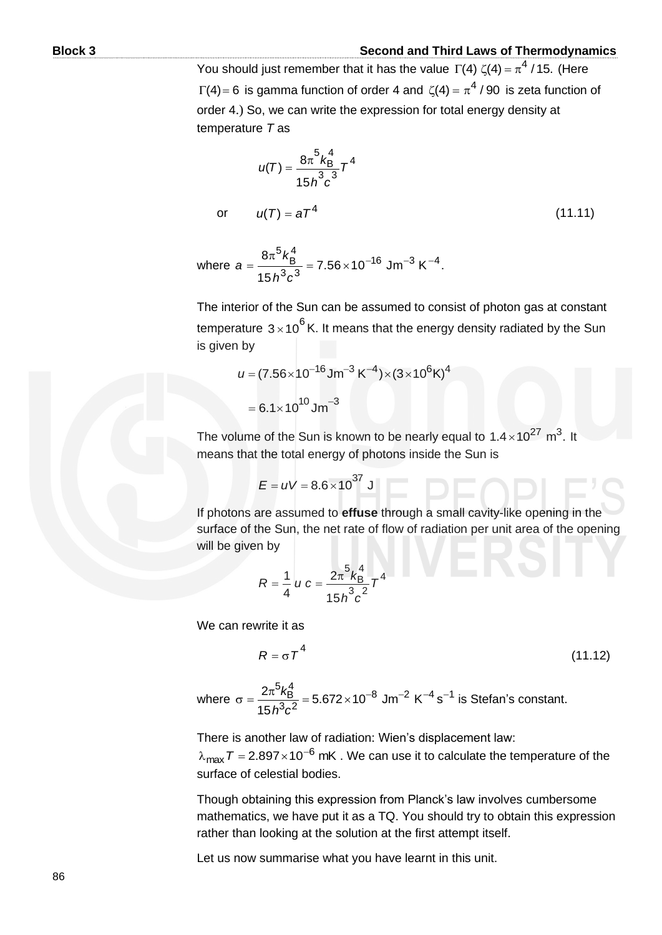You should just remember that it has the value  $\Gamma(4) \zeta(4) = \pi^4 / 15$ . (Here  $\Gamma(4)$ = 6 is gamma function of order 4 and  $\zeta(4)$  =  $\pi^4$  / 90 is zeta function of order 4.) So, we can write the expression for total energy density at temperature *T* as

$$
u(T) = \frac{8\pi^5 k_B^4}{15h^3 c^3} T^4
$$
  
or 
$$
u(T) = aT^4
$$
 (11.11)

where 
$$
a = \frac{8\pi^5 k_B^4}{15h^3c^3} = 7.56 \times 10^{-16}
$$
 Jm<sup>-3</sup> K<sup>-4</sup>.

The interior of the Sun can be assumed to consist of photon gas at constant temperature  $3\!\times\!10^6$  K. It means that the energy density radiated by the Sun is given by

$$
u = (7.56 \times 10^{-16} \text{Jm}^{-3} \text{K}^{-4}) \times (3 \times 10^{6} \text{K})^{4}
$$

$$
= 6.1 \times 10^{10} \text{Jm}^{-3}
$$

The volume of the Sun is known to be nearly equal to  $1.4 \times 10^{27}$  m<sup>3</sup>. It means that the total energy of photons inside the Sun is

$$
E = uV = 8.6 \times 10^{37} \text{ J}
$$

If photons are assumed to **effuse** through a small cavity-like opening in the surface of the Sun, the net rate of flow of radiation per unit area of the opening will be given by

$$
R = \frac{1}{4} u c = \frac{2\pi^5 k_{\rm B}^4}{15h^3c^2} T^4
$$

We can rewrite it as

$$
R = \sigma T^4 \tag{11.12}
$$

where  $\sigma = \frac{2\pi^5 k_B^4}{45 k^3 \cdot 2^2} = 5.672 \times 10^{-8}$  Jm<sup>-2</sup> K<sup>-4</sup> s<sup>-1</sup> is  $\frac{2\pi^5 k_\text{B}^4}{15\,h^3c^2}$  $\frac{2\pi^5 k_{\rm B}^4}{15 h^3 c^2}$  = 5.672 × 10<sup>-8</sup> Jm<sup>-2</sup> K<sup>-4</sup> s  $\frac{\hbar^3 k_{\rm B}^4}{\hbar^3 c^2}$  = 5.672 × 10<sup>-8</sup> Jm<sup>-2</sup> K<sup>-4</sup> s<sup>-1</sup> is Stefan's constant.

There is another law of radiation: Wien's displacement law:

 $\lambda_{\sf max}$   ${\cal T}$  = 2.897 $\times$ 10<sup>-6</sup> mK . We can use it to calculate the temperature of the surface of celestial bodies.

Though obtaining this expression from Planck's law involves cumbersome mathematics, we have put it as a TQ. You should try to obtain this expression rather than looking at the solution at the first attempt itself.

Let us now summarise what you have learnt in this unit.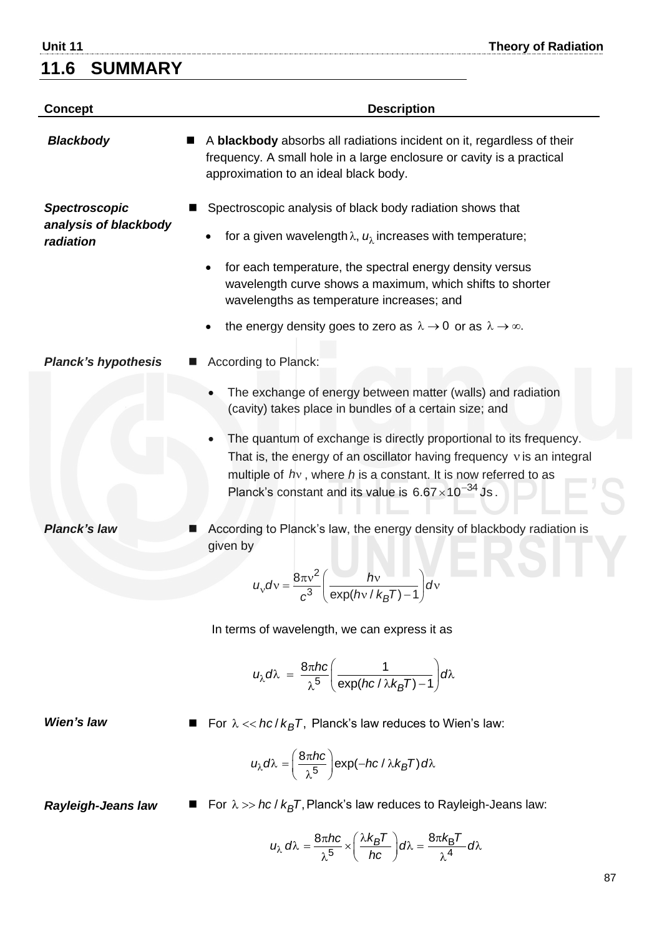#### **11.6 SUMMARY**

**Unit 11 Theory of Radiation**

| <b>Concept</b>                                             | <b>Description</b>                                                                                                                                                                                                                                                                                                                                                                                                 |
|------------------------------------------------------------|--------------------------------------------------------------------------------------------------------------------------------------------------------------------------------------------------------------------------------------------------------------------------------------------------------------------------------------------------------------------------------------------------------------------|
| <b>Blackbody</b>                                           | A blackbody absorbs all radiations incident on it, regardless of their<br>frequency. A small hole in a large enclosure or cavity is a practical<br>approximation to an ideal black body.                                                                                                                                                                                                                           |
| <b>Spectroscopic</b><br>analysis of blackbody<br>radiation | Spectroscopic analysis of black body radiation shows that<br>for a given wavelength $\lambda$ , $u_{\lambda}$ increases with temperature;<br>for each temperature, the spectral energy density versus<br>wavelength curve shows a maximum, which shifts to shorter<br>wavelengths as temperature increases; and<br>the energy density goes to zero as $\lambda \rightarrow 0$ or as $\lambda \rightarrow \infty$ . |
| <b>Planck's hypothesis</b>                                 | According to Planck:                                                                                                                                                                                                                                                                                                                                                                                               |
|                                                            | The exchange of energy between matter (walls) and radiation<br>(cavity) takes place in bundles of a certain size; and<br>The quantum of exchange is directly proportional to its frequency.<br>That is, the energy of an oscillator having frequency $v$ is an integral<br>multiple of $hv$ , where h is a constant. It is now referred to as<br>Planck's constant and its value is $6.67 \times 10^{-34}$ Js.     |
| <b>Planck's law</b>                                        | According to Planck's law, the energy density of blackbody radiation is<br>given by<br>$8\pi v^2$<br>$h_v$<br>$u_v dv = \frac{v_{av}}{c^3} \left( \frac{dv}{\exp(hv/k_BT)-1} \right) dv$<br>In terms of wavelength, we can express it as                                                                                                                                                                           |
|                                                            | $u_{\lambda}d\lambda = \frac{8\pi hc}{\lambda^5}\left(\frac{1}{\exp(hc/\lambda k_BT)-1}\right) d\lambda$                                                                                                                                                                                                                                                                                                           |
| Wien's law                                                 | For $\lambda \ll hc/k_BT$ , Planck's law reduces to Wien's law:                                                                                                                                                                                                                                                                                                                                                    |
|                                                            | $u_{\lambda}d\lambda = \left(\frac{8\pi hc}{\lambda^{5}}\right) \exp(-hc/\lambda k_{B}T) d\lambda$                                                                                                                                                                                                                                                                                                                 |
| <b>Rayleigh-Jeans law</b>                                  | For $\lambda \gg hc / k_B T$ , Planck's law reduces to Rayleigh-Jeans law:                                                                                                                                                                                                                                                                                                                                         |
|                                                            | $u_{\lambda} d\lambda = \frac{8\pi hc}{\lambda^5} \times \left(\frac{\lambda k_B T}{hc}\right) d\lambda = \frac{8\pi k_B T}{\lambda^4} d\lambda$                                                                                                                                                                                                                                                                   |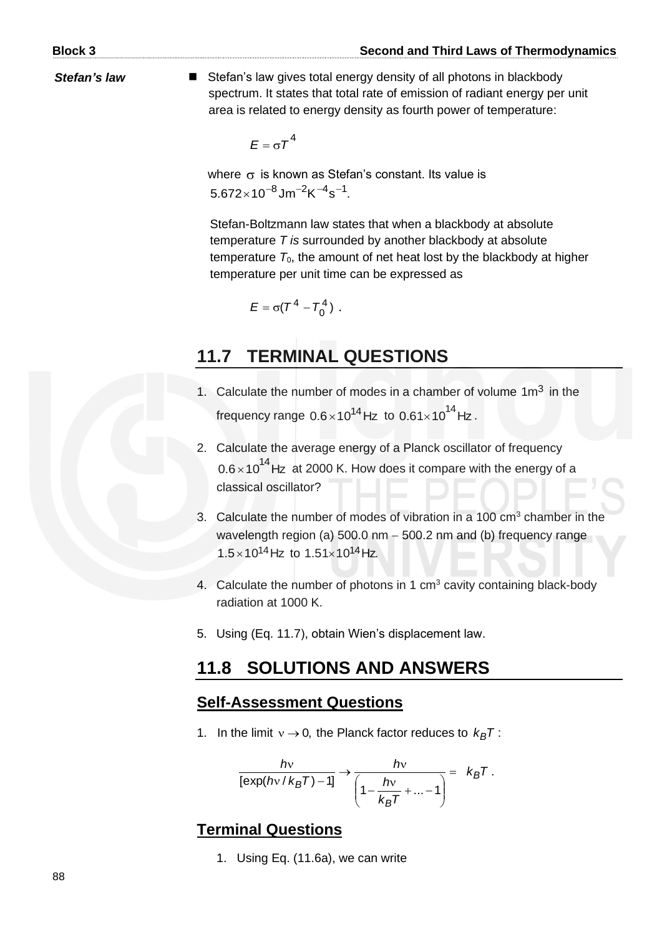**Stefan's law** ■ Stefan's law gives total energy density of all photons in blackbody spectrum. It states that total rate of emission of radiant energy per unit area is related to energy density as fourth power of temperature:

 $E = \sigma T^4$ 

where  $\sigma$  is known as Stefan's constant. Its value is  $5.672\times10^{-8}$ Jm $^{-2}$ K $^{-4}$ s $^{-1}$ .

Stefan-Boltzmann law states that when a blackbody at absolute temperature *T is* surrounded by another blackbody at absolute temperature  $T_0$ , the amount of net heat lost by the blackbody at higher temperature per unit time can be expressed as

$$
E=\sigma(T^4-T_0^4).
$$

#### **11.7 TERMINAL QUESTIONS**

- 1. Calculate the number of modes in a chamber of volume  $1m<sup>3</sup>$  in the frequency range 0.6 $\times$ 10<sup>14</sup>Hz to 0.61 $\times$ 10<sup>14</sup>Hz.
- 2. Calculate the average energy of a Planck oscillator of frequency  $0.6 \times 10^{14}$  Hz at 2000 K. How does it compare with the energy of a classical oscillator?
- 3. Calculate the number of modes of vibration in a  $100 \text{ cm}^3$  chamber in the wavelength region (a) 500.0 nm − 500.2 nm and (b) frequency range  $1.5 \times 10^{14}$  Hz to  $1.51 \times 10^{14}$  Hz.
- 4. Calculate the number of photons in 1  $cm<sup>3</sup>$  cavity containing black-body radiation at 1000 K.
- 5. Using (Eq. 11.7), obtain Wien's displacement law.

#### **11.8 SOLUTIONS AND ANSWERS**

#### **Self-Assessment Questions**

1. In the limit  $v \rightarrow 0$ , the Planck factor reduces to  $k_B T$ :

$$
\frac{hv}{\left[\exp\left(\frac{hv}{k_{B}T}\right)-1\right]}\rightarrow\frac{hv}{\left(1-\frac{hv}{k_{B}T}+\ldots-1\right)}=\kappa_{B}T.
$$

#### **Terminal Questions**

1. Using Eq. (11.6a), we can write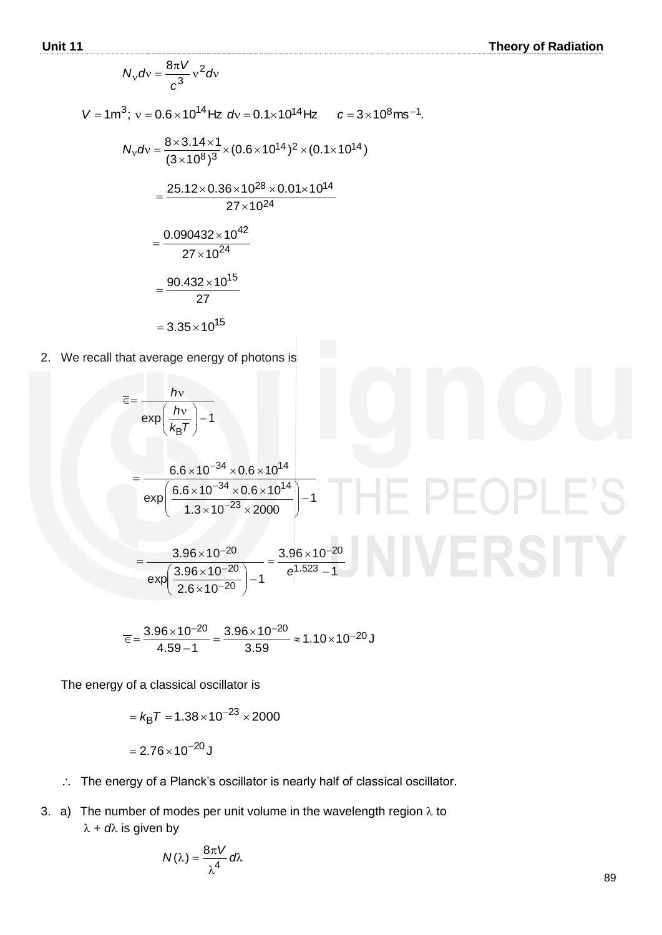$$
N_v dv = \frac{8\pi V}{c^3} v^2 dv
$$
  
\n
$$
V = 1 \text{m}^3; v = 0.6 \times 10^{14} \text{ Hz } dv = 0.1 \times 10^{14} \text{ Hz } c = 3 \times 10^8 \text{ ms}^{-1}.
$$
  
\n
$$
N_v dv = \frac{8 \times 3.14 \times 1}{(3 \times 10^8)^3} \times (0.6 \times 10^{14})^2 \times (0.1 \times 10^{14})
$$
  
\n
$$
= \frac{25.12 \times 0.36 \times 10^{28} \times 0.01 \times 10^{14}}{27 \times 10^{24}}
$$
  
\n
$$
= \frac{0.090432 \times 10^{42}}{27 \times 10^{24}}
$$
  
\n
$$
= \frac{90.432 \times 10^{15}}{27}
$$
  
\n= 3.35 × 10<sup>15</sup>

2. We recall that average energy of photons is

$$
\overline{\epsilon} = \frac{hv}{\exp\left(\frac{hv}{k_{\text{B}}T}\right) - 1}
$$
\n
$$
= \frac{6.6 \times 10^{-34} \times 0.6 \times 10^{14}}{\exp\left(\frac{6.6 \times 10^{-34} \times 0.6 \times 10^{14}}{1.3 \times 10^{-23} \times 2000}\right) - 1}
$$
\n
$$
= \frac{3.96 \times 10^{-20}}{\exp\left(\frac{3.96 \times 10^{-20}}{2.6 \times 10^{-20}}\right) - 1} = \frac{3.96 \times 10^{-20}}{e^{1.523} - 1}
$$

$$
\overline{\epsilon} = \frac{3.96 \times 10^{-20}}{4.59 - 1} = \frac{3.96 \times 10^{-20}}{3.59} \approx 1.10 \times 10^{-20} \text{ J}
$$

The energy of a classical oscillator is

$$
= k_{\text{B}}T = 1.38 \times 10^{-23} \times 2000
$$

$$
= 2.76 \times 10^{-20} \text{ J}
$$

- : The energy of a Planck's oscillator is nearly half of classical oscillator.
- 3. a) The number of modes per unit volume in the wavelength region  $\lambda$  to  $\lambda + d\lambda$  is given by

$$
N(\lambda) = \frac{8\pi V}{\lambda^4} d\lambda
$$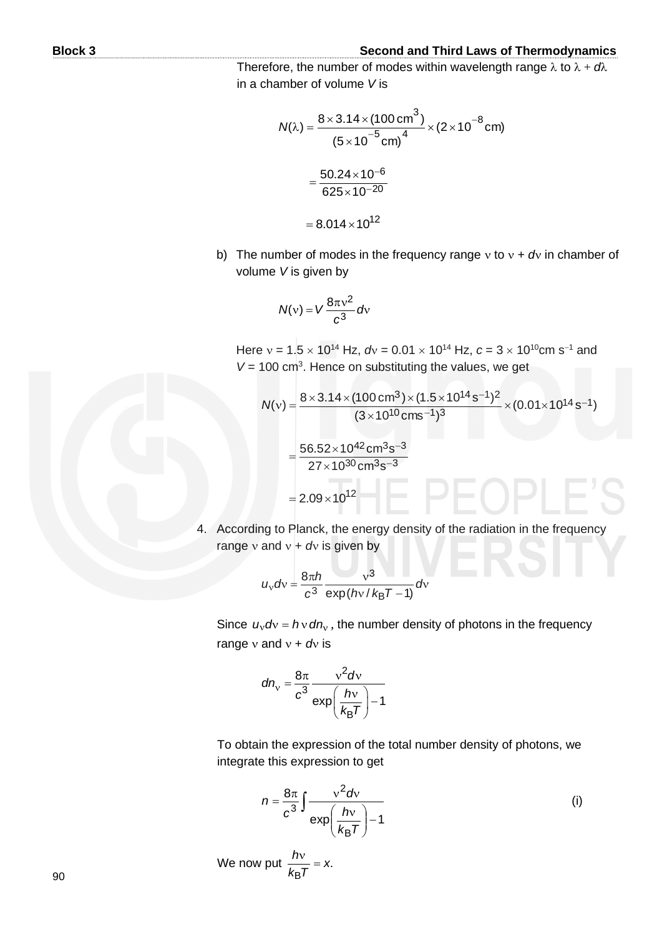Therefore, the number of modes within wavelength range  $\lambda$  to  $\lambda + d\lambda$ in a chamber of volume *V* is

$$
N(\lambda) = \frac{8 \times 3.14 \times (100 \text{ cm}^3)}{(5 \times 10^{-5} \text{ cm})^4} \times (2 \times 10^{-8} \text{ cm})
$$

$$
= \frac{50.24 \times 10^{-6}}{625 \times 10^{-20}}
$$

$$
= 8.014 \times 10^{12}
$$

b) The number of modes in the frequency range  $v$  to  $v + dv$  in chamber of volume *V* is given by

$$
N(v) = V \frac{8\pi v^2}{c^3} dv
$$

Here  $v = 1.5 \times 10^{14}$  Hz,  $dv = 0.01 \times 10^{14}$  Hz,  $c = 3 \times 10^{10}$ cm s<sup>-1</sup> and  $V = 100$  cm<sup>3</sup>. Hence on substituting the values, we get

$$
N(v) = \frac{8 \times 3.14 \times (100 \text{ cm}^3) \times (1.5 \times 10^{14} \text{ s}^{-1})^2}{(3 \times 10^{10} \text{ cm s}^{-1})^3} \times (0.01 \times 10^{14} \text{ s}^{-1})
$$

$$
= \frac{56.52 \times 10^{42} \text{ cm}^3 \text{ s}^{-3}}{27 \times 10^{30} \text{ cm}^3 \text{ s}^{-3}}
$$

$$
= 2.09 \times 10^{12}
$$

4. According to Planck, the energy density of the radiation in the frequency range  $v$  and  $v + dv$  is given by

$$
u_{\rm v}dv = \frac{8\pi h}{c^3}\frac{v^3}{\exp(hv/k_{\rm B}T-1)}dv
$$

Since  $u_v dv = h v dm_v$ , the number density of photons in the frequency range  $v$  and  $v + dv$  is

$$
dn_{\rm v} = \frac{8\pi}{c^3} \frac{v^2 dv}{\exp\left(\frac{hv}{k_{\rm B}T}\right) - 1}
$$

To obtain the expression of the total number density of photons, we integrate this expression to get

$$
n = \frac{8\pi}{c^3} \int \frac{v^2 dv}{\exp\left(\frac{hv}{k_B T}\right) - 1}
$$
 (i)

We now put 
$$
\frac{hv}{k_{\text{B}}T} = x
$$
.

90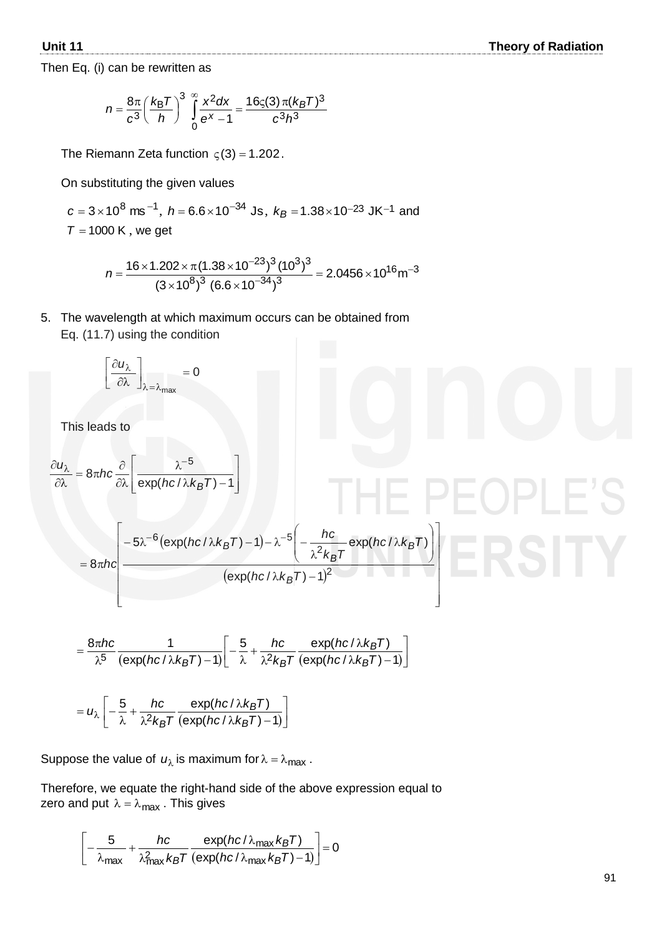Then Eq. (i) can be rewritten as

$$
n = \frac{8\pi}{c^3} \left(\frac{k_{\rm B}T}{h}\right)^3 \int\limits_{0}^{\infty} \frac{x^2 dx}{e^x - 1} = \frac{16\varsigma(3)\pi (k_{\rm B}T)^3}{c^3 h^3}
$$

The Riemann Zeta function  $\varsigma(3)$  = 1.202.

On substituting the given values

$$
c = 3 \times 10^8
$$
 ms<sup>-1</sup>,  $h = 6.6 \times 10^{-34}$  Js,  $k_B = 1.38 \times 10^{-23}$  JK<sup>-1</sup> and  
 $T = 1000$  K, we get

$$
n = \frac{16 \times 1.202 \times \pi (1.38 \times 10^{-23})^3 (10^3)^3}{(3 \times 10^8)^3 (6.6 \times 10^{-34})^3} = 2.0456 \times 10^{16} \text{m}^{-3}
$$

5. The wavelength at which maximum occurs can be obtained from Eq. (11.7) using the condition

$$
\left[\frac{\partial u_{\lambda}}{\partial \lambda}\right]_{\lambda=\lambda_{\text{max}}} = 0
$$

This leads to

$$
\frac{\partial u_{\lambda}}{\partial \lambda} = 8\pi hc \frac{\partial}{\partial \lambda} \left[ \frac{\lambda^{-5}}{\exp(hc/\lambda k_{B}T) - 1} \right]
$$
  
=  $8\pi hc \left[ \frac{-5\lambda^{-6} (\exp(hc/\lambda k_{B}T) - 1) - \lambda^{-5} \left( -\frac{hc}{\lambda^{2} k_{B}T} \exp(hc/\lambda k_{B}T) \right)}{(\exp(hc/\lambda k_{B}T) - 1)^{2}} \right]$ 

$$
= \frac{8\pi hc}{\lambda^5} \frac{1}{(\exp(hc/\lambda k_B T)-1)} \bigg[ -\frac{5}{\lambda} + \frac{hc}{\lambda^2 k_B T} \frac{\exp(hc/\lambda k_B T)}{(\exp(hc/\lambda k_B T)-1)} \bigg]
$$

$$
=u_{\lambda}\left[-\frac{5}{\lambda}+\frac{hc}{\lambda^{2}k_{B}T}\frac{\exp(hc/\lambda k_{B}T)}{(\exp(hc/\lambda k_{B}T)-1)}\right]
$$

Suppose the value of  $u_{\lambda}$  is maximum for  $\lambda = \lambda_{\text{max}}$ .

Therefore, we equate the right-hand side of the above expression equal to zero and put  $\lambda = \lambda_{\sf max}$  . This gives

$$
\left[-\frac{5}{\lambda_{\max}} + \frac{hc}{\lambda_{\max}^2 k_B T} \frac{\exp(hc/\lambda_{\max} k_B T)}{(\exp(hc/\lambda_{\max} k_B T) - 1)}\right] = 0
$$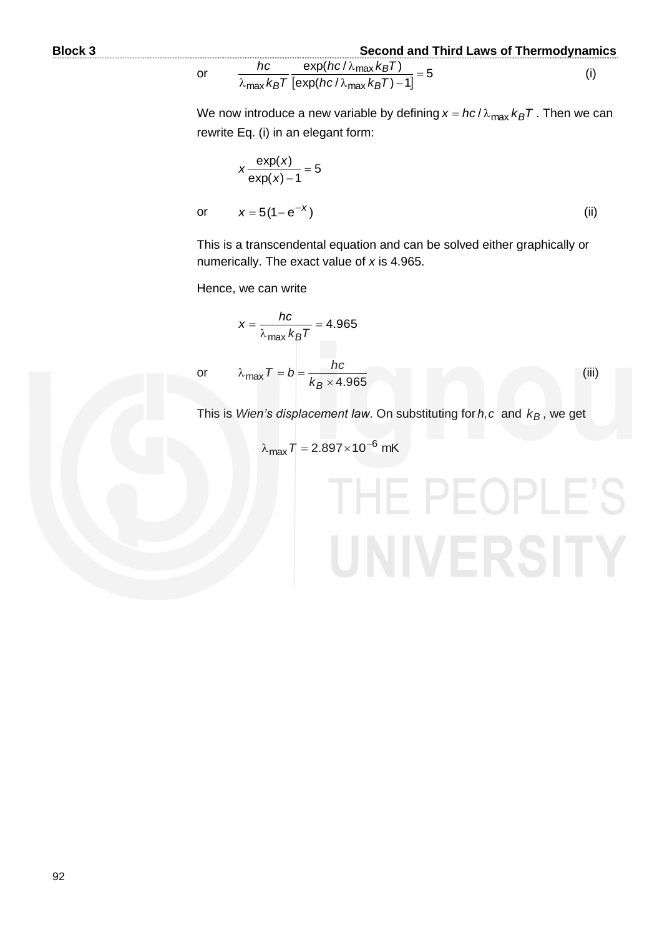or

**Block 3 Second and Third Laws of Thermodynamics**

$$
\frac{hc}{\lambda_{\max} k_B T} \frac{\exp(hc/\lambda_{\max} k_B T)}{[\exp(hc/\lambda_{\max} k_B T) - 1]} = 5
$$
 (i)

We now introduce a new variable by defining  $x = hc/\lambda_{\text{max}} k_B T$  . Then we can rewrite Eq. (i) in an elegant form:

$$
x \frac{\exp(x)}{\exp(x) - 1} = 5
$$
  

$$
x = 5(1 - e^{-x})
$$
 (ii)

This is a transcendental equation and can be solved either graphically or numerically. The exact value of *x* is 4.965.

Hence, we can write

=

max λ *Tk B*

 $x = \frac{hc}{\lambda}$ 

or

or

$$
\lambda_{\text{max}} \tau = b = \frac{hc}{k_B \times 4.965}
$$

=

.4 965

(iii)

This is *Wien's displacement law*. On substituting for ,*ch* and *kB* , we get

$$
\lambda_{\text{max}} T = 2.897 \times 10^{-6} \text{ mK}
$$

# HE PEOPLE'S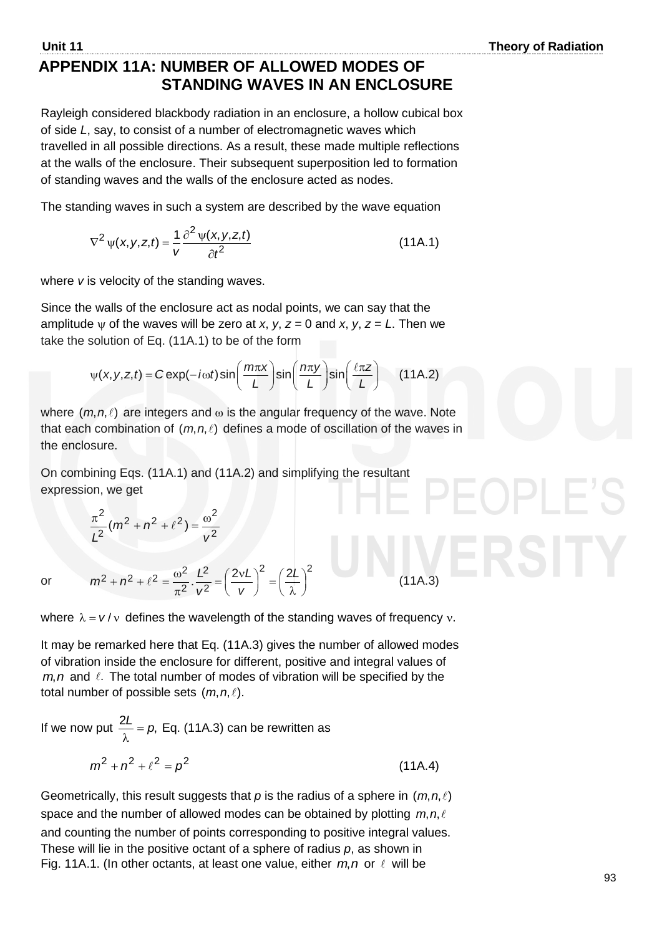#### **APPENDIX 11A: NUMBER OF ALLOWED MODES OF STANDING WAVES IN AN ENCLOSURE**

Rayleigh considered blackbody radiation in an enclosure, a hollow cubical box of side *L*, say, to consist of a number of electromagnetic waves which travelled in all possible directions. As a result, these made multiple reflections at the walls of the enclosure. Their subsequent superposition led to formation of standing waves and the walls of the enclosure acted as nodes.

The standing waves in such a system are described by the wave equation

$$
\nabla^2 \psi(x, y, z, t) = \frac{1}{v} \frac{\partial^2 \psi(x, y, z, t)}{\partial t^2}
$$
 (11A.1)

where *v* is velocity of the standing waves.

Since the walls of the enclosure act as nodal points, we can say that the amplitude  $\psi$  of the waves will be zero at *x*, *y*, *z* = 0 and *x*, *y*, *z* = *L*. Then we

take the solution of Eq. (11A.1) to be of the form  
\n
$$
\psi(x, y, z, t) = C \exp(-i\omega t) \sin\left(\frac{m\pi x}{L}\right) \sin\left(\frac{n\pi y}{L}\right) \sin\left(\frac{\ell \pi z}{L}\right)
$$
\n(11A.2)

where  $(m, n, \ell)$  are integers and  $\omega$  is the angular frequency of the wave. Note that each combination of  $(m, n, \ell)$  defines a mode of oscillation of the waves in the enclosure.

On combining Eqs. (11A.1) and (11A.2) and simplifying the resultant expression, we get

$$
\frac{\pi^2}{L^2}(m^2+n^2+\ell^2)=\frac{\omega^2}{v^2}
$$

or

$$
m^2 + n^2 + \ell^2 = \frac{\omega^2}{\pi^2} \cdot \frac{L^2}{v^2} = \left(\frac{2vL}{v}\right)^2 = \left(\frac{2L}{\lambda}\right)^2
$$

where  $\lambda = v/v$  defines the wavelength of the standing waves of frequency v.

(11A.3)

It may be remarked here that Eq. (11A.3) gives the number of allowed modes of vibration inside the enclosure for different, positive and integral values of  $m, n$  and  $\ell$ . The total number of modes of vibration will be specified by the total number of possible sets  $(m, n, \ell)$ .

If we now put  $\frac{2L}{\lambda} = p$ , λ Eq. (11A.3) can be rewritten as

$$
m^2 + n^2 + \ell^2 = p^2 \tag{11A.4}
$$

Geometrically, this result suggests that  $\rho$  is the radius of a sphere in  $(m, n, \ell)$ space and the number of allowed modes can be obtained by plotting  $m, n, \ell$ and counting the number of points corresponding to positive integral values. These will lie in the positive octant of a sphere of radius *p*, as shown in Fig. 11A.1. (In other octants, at least one value, either  $m, n$  or  $\ell$  will be